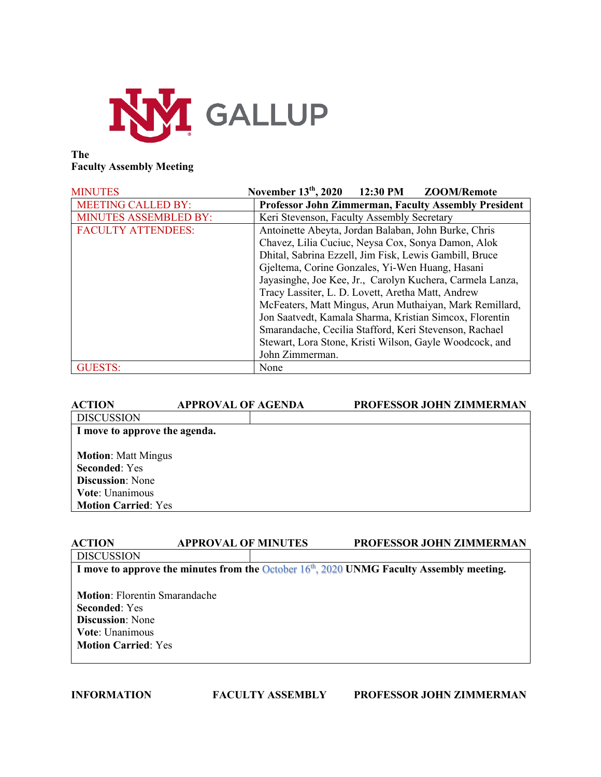

## **The Faculty Assembly Meeting**

| <b>MINUTES</b>               | November $13th$ , 2020<br>12:30 PM<br>ZOOM/Remote                                                                                                                                                                                 |  |
|------------------------------|-----------------------------------------------------------------------------------------------------------------------------------------------------------------------------------------------------------------------------------|--|
| <b>MEETING CALLED BY:</b>    | <b>Professor John Zimmerman, Faculty Assembly President</b>                                                                                                                                                                       |  |
| <b>MINUTES ASSEMBLED BY:</b> | Keri Stevenson, Faculty Assembly Secretary                                                                                                                                                                                        |  |
| <b>FACULTY ATTENDEES:</b>    | Antoinette Abeyta, Jordan Balaban, John Burke, Chris                                                                                                                                                                              |  |
|                              | Chavez, Lilia Cuciuc, Neysa Cox, Sonya Damon, Alok<br>Dhital, Sabrina Ezzell, Jim Fisk, Lewis Gambill, Bruce                                                                                                                      |  |
|                              |                                                                                                                                                                                                                                   |  |
|                              | Gjeltema, Corine Gonzales, Yi-Wen Huang, Hasani                                                                                                                                                                                   |  |
|                              | Jayasinghe, Joe Kee, Jr., Carolyn Kuchera, Carmela Lanza,                                                                                                                                                                         |  |
|                              | Tracy Lassiter, L. D. Lovett, Aretha Matt, Andrew<br>McFeaters, Matt Mingus, Arun Muthaiyan, Mark Remillard,<br>Jon Saatvedt, Kamala Sharma, Kristian Simcox, Florentin<br>Smarandache, Cecilia Stafford, Keri Stevenson, Rachael |  |
|                              |                                                                                                                                                                                                                                   |  |
|                              |                                                                                                                                                                                                                                   |  |
|                              |                                                                                                                                                                                                                                   |  |
|                              | Stewart, Lora Stone, Kristi Wilson, Gayle Woodcock, and                                                                                                                                                                           |  |
|                              | John Zimmerman.                                                                                                                                                                                                                   |  |
| <b>GUESTS:</b>               | None                                                                                                                                                                                                                              |  |

| <b>ACTION</b>                 | <b>APPROVAL OF AGENDA</b> | PROFESSOR JOHN ZIMMERMAN |
|-------------------------------|---------------------------|--------------------------|
| <b>DISCUSSION</b>             |                           |                          |
| I move to approve the agenda. |                           |                          |
|                               |                           |                          |
| <b>Motion: Matt Mingus</b>    |                           |                          |
| <b>Seconded: Yes</b>          |                           |                          |
| <b>Discussion:</b> None       |                           |                          |
| Vote: Unanimous               |                           |                          |
| <b>Motion Carried: Yes</b>    |                           |                          |
|                               |                           |                          |

| ACTION                               | <b>APPROVAL OF MINUTES</b> | PROFESSOR JOHN ZIMMERMAN                                                                    |
|--------------------------------------|----------------------------|---------------------------------------------------------------------------------------------|
| <b>DISCUSSION</b>                    |                            |                                                                                             |
|                                      |                            | I move to approve the minutes from the October $16th$ , 2020 UNMG Faculty Assembly meeting. |
|                                      |                            |                                                                                             |
| <b>Motion:</b> Florentin Smarandache |                            |                                                                                             |
| <b>Seconded:</b> Yes                 |                            |                                                                                             |
| <b>Discussion</b> : None             |                            |                                                                                             |
| Vote: Unanimous                      |                            |                                                                                             |
| <b>Motion Carried: Yes</b>           |                            |                                                                                             |
|                                      |                            |                                                                                             |
|                                      |                            |                                                                                             |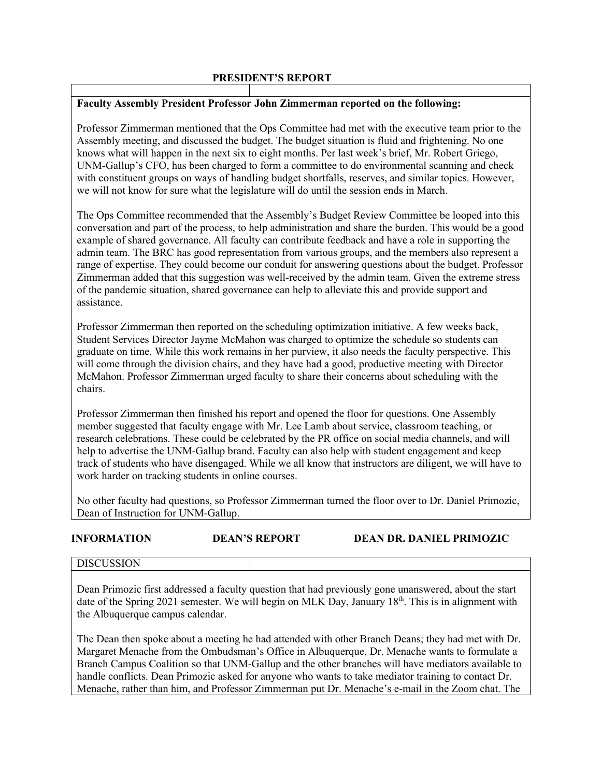## **PRESIDENT'S REPORT**

## **Faculty Assembly President Professor John Zimmerman reported on the following:**

Professor Zimmerman mentioned that the Ops Committee had met with the executive team prior to the Assembly meeting, and discussed the budget. The budget situation is fluid and frightening. No one knows what will happen in the next six to eight months. Per last week's brief, Mr. Robert Griego, UNM-Gallup's CFO, has been charged to form a committee to do environmental scanning and check with constituent groups on ways of handling budget shortfalls, reserves, and similar topics. However, we will not know for sure what the legislature will do until the session ends in March.

The Ops Committee recommended that the Assembly's Budget Review Committee be looped into this conversation and part of the process, to help administration and share the burden. This would be a good example of shared governance. All faculty can contribute feedback and have a role in supporting the admin team. The BRC has good representation from various groups, and the members also represent a range of expertise. They could become our conduit for answering questions about the budget. Professor Zimmerman added that this suggestion was well-received by the admin team. Given the extreme stress of the pandemic situation, shared governance can help to alleviate this and provide support and assistance.

Professor Zimmerman then reported on the scheduling optimization initiative. A few weeks back, Student Services Director Jayme McMahon was charged to optimize the schedule so students can graduate on time. While this work remains in her purview, it also needs the faculty perspective. This will come through the division chairs, and they have had a good, productive meeting with Director McMahon. Professor Zimmerman urged faculty to share their concerns about scheduling with the chairs.

Professor Zimmerman then finished his report and opened the floor for questions. One Assembly member suggested that faculty engage with Mr. Lee Lamb about service, classroom teaching, or research celebrations. These could be celebrated by the PR office on social media channels, and will help to advertise the UNM-Gallup brand. Faculty can also help with student engagement and keep track of students who have disengaged. While we all know that instructors are diligent, we will have to work harder on tracking students in online courses.

No other faculty had questions, so Professor Zimmerman turned the floor over to Dr. Daniel Primozic, Dean of Instruction for UNM-Gallup.

## **INFORMATION DEAN'S REPORT DEAN DR. DANIEL PRIMOZIC**

## DISCUSSION

Dean Primozic first addressed a faculty question that had previously gone unanswered, about the start date of the Spring 2021 semester. We will begin on MLK Day, January  $18<sup>th</sup>$ . This is in alignment with the Albuquerque campus calendar.

The Dean then spoke about a meeting he had attended with other Branch Deans; they had met with Dr. Margaret Menache from the Ombudsman's Office in Albuquerque. Dr. Menache wants to formulate a Branch Campus Coalition so that UNM-Gallup and the other branches will have mediators available to handle conflicts. Dean Primozic asked for anyone who wants to take mediator training to contact Dr. Menache, rather than him, and Professor Zimmerman put Dr. Menache's e-mail in the Zoom chat. The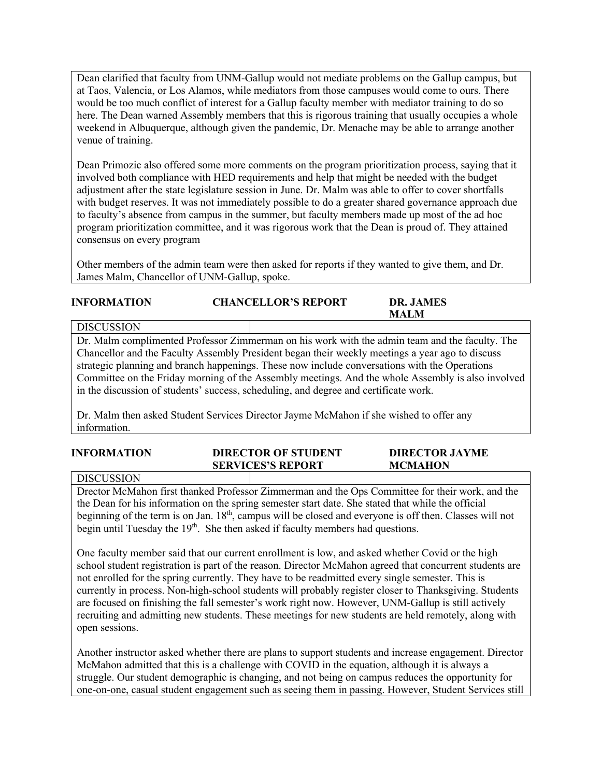Dean clarified that faculty from UNM-Gallup would not mediate problems on the Gallup campus, but at Taos, Valencia, or Los Alamos, while mediators from those campuses would come to ours. There would be too much conflict of interest for a Gallup faculty member with mediator training to do so here. The Dean warned Assembly members that this is rigorous training that usually occupies a whole weekend in Albuquerque, although given the pandemic, Dr. Menache may be able to arrange another venue of training.

Dean Primozic also offered some more comments on the program prioritization process, saying that it involved both compliance with HED requirements and help that might be needed with the budget adjustment after the state legislature session in June. Dr. Malm was able to offer to cover shortfalls with budget reserves. It was not immediately possible to do a greater shared governance approach due to faculty's absence from campus in the summer, but faculty members made up most of the ad hoc program prioritization committee, and it was rigorous work that the Dean is proud of. They attained consensus on every program

Other members of the admin team were then asked for reports if they wanted to give them, and Dr. James Malm, Chancellor of UNM-Gallup, spoke.

| <b>INFORMATION</b> | <b>CHANCELLOR'S REPORT</b> | DR. JAMES<br>MALM |  |
|--------------------|----------------------------|-------------------|--|
| l discussion       |                            |                   |  |

Dr. Malm complimented Professor Zimmerman on his work with the admin team and the faculty. The Chancellor and the Faculty Assembly President began their weekly meetings a year ago to discuss strategic planning and branch happenings. These now include conversations with the Operations Committee on the Friday morning of the Assembly meetings. And the whole Assembly is also involved in the discussion of students' success, scheduling, and degree and certificate work.

Dr. Malm then asked Student Services Director Jayme McMahon if she wished to offer any information.

| <b>INFORMATION</b> | <b>DIRECTOR OF STUDENT</b> | <b>DIRECTOR JAYME</b> |
|--------------------|----------------------------|-----------------------|
|                    | <b>SERVICES'S REPORT</b>   | <b>MCMAHON</b>        |
|                    |                            |                       |

DISCUSSION

Drector McMahon first thanked Professor Zimmerman and the Ops Committee for their work, and the the Dean for his information on the spring semester start date. She stated that while the official beginning of the term is on Jan. 18<sup>th</sup>, campus will be closed and everyone is off then. Classes will not begin until Tuesday the 19<sup>th</sup>. She then asked if faculty members had questions.

One faculty member said that our current enrollment is low, and asked whether Covid or the high school student registration is part of the reason. Director McMahon agreed that concurrent students are not enrolled for the spring currently. They have to be readmitted every single semester. This is currently in process. Non-high-school students will probably register closer to Thanksgiving. Students are focused on finishing the fall semester's work right now. However, UNM-Gallup is still actively recruiting and admitting new students. These meetings for new students are held remotely, along with open sessions.

Another instructor asked whether there are plans to support students and increase engagement. Director McMahon admitted that this is a challenge with COVID in the equation, although it is always a struggle. Our student demographic is changing, and not being on campus reduces the opportunity for one-on-one, casual student engagement such as seeing them in passing. However, Student Services still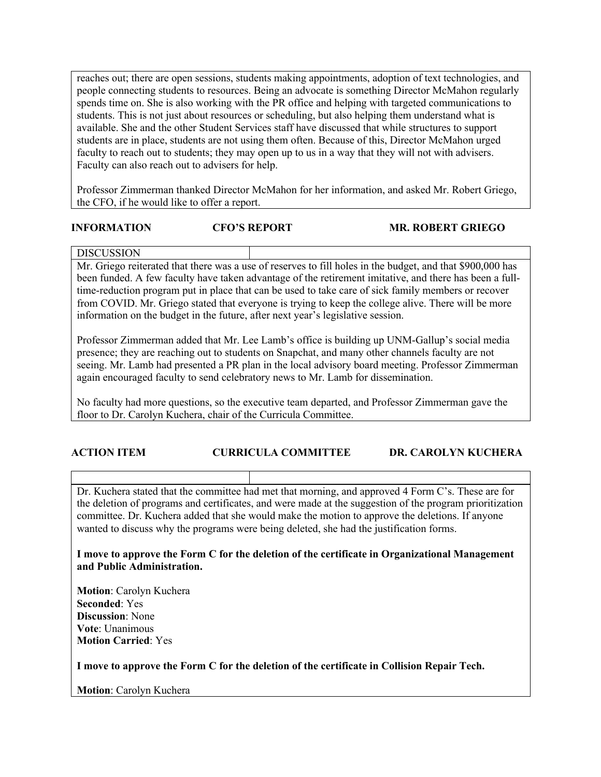reaches out; there are open sessions, students making appointments, adoption of text technologies, and people connecting students to resources. Being an advocate is something Director McMahon regularly spends time on. She is also working with the PR office and helping with targeted communications to students. This is not just about resources or scheduling, but also helping them understand what is available. She and the other Student Services staff have discussed that while structures to support students are in place, students are not using them often. Because of this, Director McMahon urged faculty to reach out to students; they may open up to us in a way that they will not with advisers. Faculty can also reach out to advisers for help.

Professor Zimmerman thanked Director McMahon for her information, and asked Mr. Robert Griego, the CFO, if he would like to offer a report.

## **INFORMATION CFO'S REPORT MR. ROBERT GRIEGO**

# DISCUSSION

Mr. Griego reiterated that there was a use of reserves to fill holes in the budget, and that \$900,000 has been funded. A few faculty have taken advantage of the retirement imitative, and there has been a fulltime-reduction program put in place that can be used to take care of sick family members or recover from COVID. Mr. Griego stated that everyone is trying to keep the college alive. There will be more information on the budget in the future, after next year's legislative session.

Professor Zimmerman added that Mr. Lee Lamb's office is building up UNM-Gallup's social media presence; they are reaching out to students on Snapchat, and many other channels faculty are not seeing. Mr. Lamb had presented a PR plan in the local advisory board meeting. Professor Zimmerman again encouraged faculty to send celebratory news to Mr. Lamb for dissemination.

No faculty had more questions, so the executive team departed, and Professor Zimmerman gave the floor to Dr. Carolyn Kuchera, chair of the Curricula Committee.

# **ACTION ITEM CURRICULA COMMITTEE DR. CAROLYN KUCHERA**

Dr. Kuchera stated that the committee had met that morning, and approved 4 Form C's. These are for the deletion of programs and certificates, and were made at the suggestion of the program prioritization committee. Dr. Kuchera added that she would make the motion to approve the deletions. If anyone wanted to discuss why the programs were being deleted, she had the justification forms.

**I move to approve the Form C for the deletion of the certificate in Organizational Management and Public Administration.** 

**Motion**: Carolyn Kuchera **Seconded**: Yes **Discussion**: None **Vote**: Unanimous **Motion Carried**: Yes

**I move to approve the Form C for the deletion of the certificate in Collision Repair Tech.**

**Motion**: Carolyn Kuchera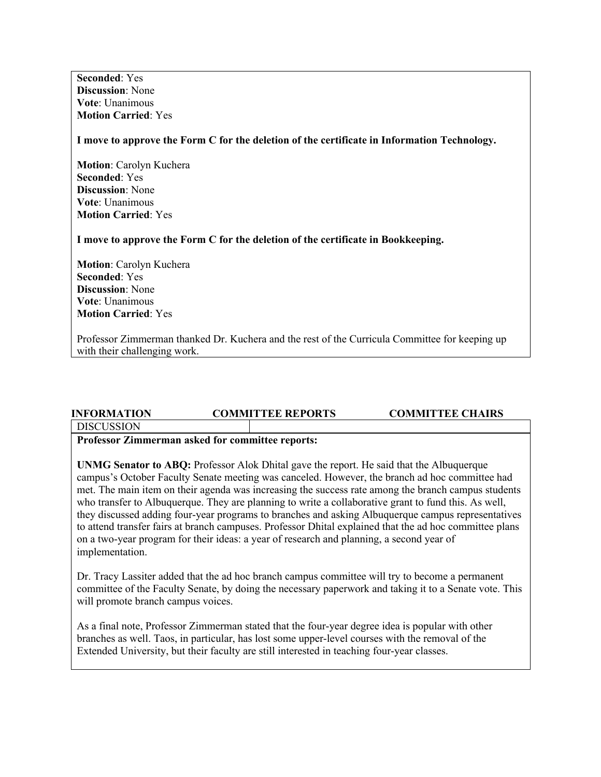**Seconded**: Yes **Discussion**: None **Vote**: Unanimous **Motion Carried**: Yes

**I move to approve the Form C for the deletion of the certificate in Information Technology.**

**Motion**: Carolyn Kuchera **Seconded**: Yes **Discussion**: None **Vote**: Unanimous **Motion Carried**: Yes

**I move to approve the Form C for the deletion of the certificate in Bookkeeping.**

**Motion**: Carolyn Kuchera **Seconded**: Yes **Discussion**: None **Vote**: Unanimous **Motion Carried**: Yes

Professor Zimmerman thanked Dr. Kuchera and the rest of the Curricula Committee for keeping up with their challenging work.

# **INFORMATION COMMITTEE REPORTS COMMITTEE CHAIRS DISCUSSION**

### **Professor Zimmerman asked for committee reports:**

**UNMG Senator to ABQ:** Professor Alok Dhital gave the report. He said that the Albuquerque campus's October Faculty Senate meeting was canceled. However, the branch ad hoc committee had met. The main item on their agenda was increasing the success rate among the branch campus students who transfer to Albuquerque. They are planning to write a collaborative grant to fund this. As well, they discussed adding four-year programs to branches and asking Albuquerque campus representatives to attend transfer fairs at branch campuses. Professor Dhital explained that the ad hoc committee plans on a two-year program for their ideas: a year of research and planning, a second year of implementation.

Dr. Tracy Lassiter added that the ad hoc branch campus committee will try to become a permanent committee of the Faculty Senate, by doing the necessary paperwork and taking it to a Senate vote. This will promote branch campus voices.

As a final note, Professor Zimmerman stated that the four-year degree idea is popular with other branches as well. Taos, in particular, has lost some upper-level courses with the removal of the Extended University, but their faculty are still interested in teaching four-year classes.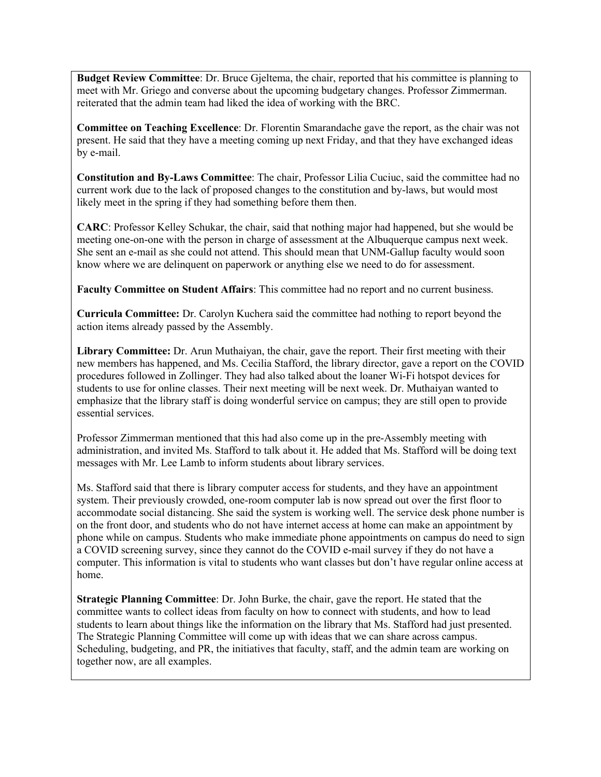**Budget Review Committee**: Dr. Bruce Gjeltema, the chair, reported that his committee is planning to meet with Mr. Griego and converse about the upcoming budgetary changes. Professor Zimmerman. reiterated that the admin team had liked the idea of working with the BRC.

**Committee on Teaching Excellence**: Dr. Florentin Smarandache gave the report, as the chair was not present. He said that they have a meeting coming up next Friday, and that they have exchanged ideas by e-mail.

**Constitution and By-Laws Committee**: The chair, Professor Lilia Cuciuc, said the committee had no current work due to the lack of proposed changes to the constitution and by-laws, but would most likely meet in the spring if they had something before them then.

**CARC**: Professor Kelley Schukar, the chair, said that nothing major had happened, but she would be meeting one-on-one with the person in charge of assessment at the Albuquerque campus next week. She sent an e-mail as she could not attend. This should mean that UNM-Gallup faculty would soon know where we are delinquent on paperwork or anything else we need to do for assessment.

**Faculty Committee on Student Affairs**: This committee had no report and no current business.

**Curricula Committee:** Dr. Carolyn Kuchera said the committee had nothing to report beyond the action items already passed by the Assembly.

**Library Committee:** Dr. Arun Muthaiyan, the chair, gave the report. Their first meeting with their new members has happened, and Ms. Cecilia Stafford, the library director, gave a report on the COVID procedures followed in Zollinger. They had also talked about the loaner Wi-Fi hotspot devices for students to use for online classes. Their next meeting will be next week. Dr. Muthaiyan wanted to emphasize that the library staff is doing wonderful service on campus; they are still open to provide essential services.

Professor Zimmerman mentioned that this had also come up in the pre-Assembly meeting with administration, and invited Ms. Stafford to talk about it. He added that Ms. Stafford will be doing text messages with Mr. Lee Lamb to inform students about library services.

Ms. Stafford said that there is library computer access for students, and they have an appointment system. Their previously crowded, one-room computer lab is now spread out over the first floor to accommodate social distancing. She said the system is working well. The service desk phone number is on the front door, and students who do not have internet access at home can make an appointment by phone while on campus. Students who make immediate phone appointments on campus do need to sign a COVID screening survey, since they cannot do the COVID e-mail survey if they do not have a computer. This information is vital to students who want classes but don't have regular online access at home.

**Strategic Planning Committee**: Dr. John Burke, the chair, gave the report. He stated that the committee wants to collect ideas from faculty on how to connect with students, and how to lead students to learn about things like the information on the library that Ms. Stafford had just presented. The Strategic Planning Committee will come up with ideas that we can share across campus. Scheduling, budgeting, and PR, the initiatives that faculty, staff, and the admin team are working on together now, are all examples.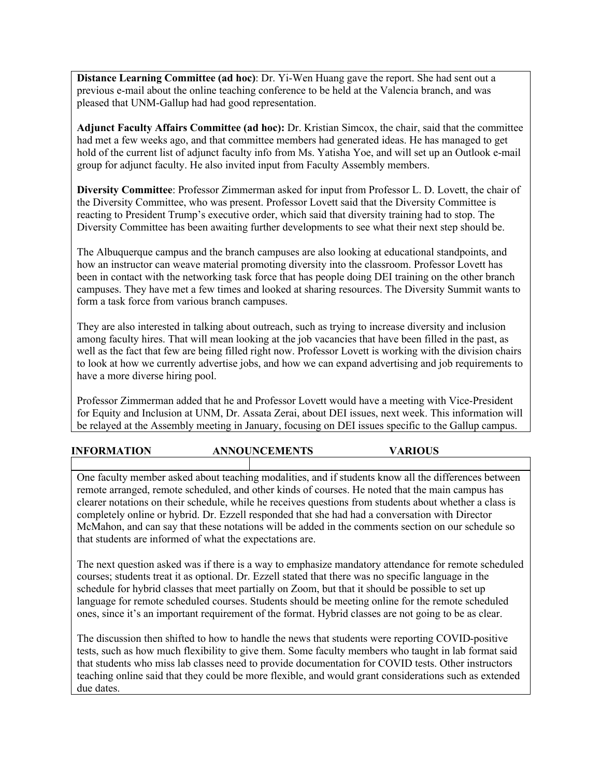**Distance Learning Committee (ad hoc)**: Dr. Yi-Wen Huang gave the report. She had sent out a previous e-mail about the online teaching conference to be held at the Valencia branch, and was pleased that UNM-Gallup had had good representation.

**Adjunct Faculty Affairs Committee (ad hoc):** Dr. Kristian Simcox, the chair, said that the committee had met a few weeks ago, and that committee members had generated ideas. He has managed to get hold of the current list of adjunct faculty info from Ms. Yatisha Yoe, and will set up an Outlook e-mail group for adjunct faculty. He also invited input from Faculty Assembly members.

**Diversity Committee**: Professor Zimmerman asked for input from Professor L. D. Lovett, the chair of the Diversity Committee, who was present. Professor Lovett said that the Diversity Committee is reacting to President Trump's executive order, which said that diversity training had to stop. The Diversity Committee has been awaiting further developments to see what their next step should be.

The Albuquerque campus and the branch campuses are also looking at educational standpoints, and how an instructor can weave material promoting diversity into the classroom. Professor Lovett has been in contact with the networking task force that has people doing DEI training on the other branch campuses. They have met a few times and looked at sharing resources. The Diversity Summit wants to form a task force from various branch campuses.

They are also interested in talking about outreach, such as trying to increase diversity and inclusion among faculty hires. That will mean looking at the job vacancies that have been filled in the past, as well as the fact that few are being filled right now. Professor Lovett is working with the division chairs to look at how we currently advertise jobs, and how we can expand advertising and job requirements to have a more diverse hiring pool.

Professor Zimmerman added that he and Professor Lovett would have a meeting with Vice-President for Equity and Inclusion at UNM, Dr. Assata Zerai, about DEI issues, next week. This information will be relayed at the Assembly meeting in January, focusing on DEI issues specific to the Gallup campus.

# **INFORMATION ANNOUNCEMENTS VARIOUS**

One faculty member asked about teaching modalities, and if students know all the differences between remote arranged, remote scheduled, and other kinds of courses. He noted that the main campus has clearer notations on their schedule, while he receives questions from students about whether a class is completely online or hybrid. Dr. Ezzell responded that she had had a conversation with Director McMahon, and can say that these notations will be added in the comments section on our schedule so that students are informed of what the expectations are.

The next question asked was if there is a way to emphasize mandatory attendance for remote scheduled courses; students treat it as optional. Dr. Ezzell stated that there was no specific language in the schedule for hybrid classes that meet partially on Zoom, but that it should be possible to set up language for remote scheduled courses. Students should be meeting online for the remote scheduled ones, since it's an important requirement of the format. Hybrid classes are not going to be as clear.

The discussion then shifted to how to handle the news that students were reporting COVID-positive tests, such as how much flexibility to give them. Some faculty members who taught in lab format said that students who miss lab classes need to provide documentation for COVID tests. Other instructors teaching online said that they could be more flexible, and would grant considerations such as extended due dates.